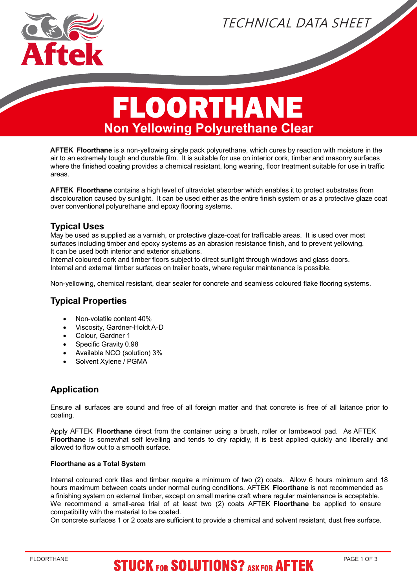

TECHNICAL DATA SHEET

# FLOORTHANE  **Non Yellowing Polyurethane Clear**

**AFTEK Floorthane** is a non-yellowing single pack polyurethane, which cures by reaction with moisture in the air to an extremely tough and durable film. It is suitable for use on interior cork, timber and masonry surfaces where the finished coating provides a chemical resistant, long wearing, floor treatment suitable for use in traffic areas.

**AFTEK Floorthane** contains a high level of ultraviolet absorber which enables it to protect substrates from discolouration caused by sunlight. It can be used either as the entire finish system or as a protective glaze coat over conventional polyurethane and epoxy flooring systems.

### **Typical Uses**

May be used as supplied as a varnish, or protective glaze-coat for trafficable areas. It is used over most surfaces including timber and epoxy systems as an abrasion resistance finish, and to prevent yellowing. It can be used both interior and exterior situations.

Internal coloured cork and timber floors subject to direct sunlight through windows and glass doors. Internal and external timber surfaces on trailer boats, where regular maintenance is possible.

Non-yellowing, chemical resistant, clear sealer for concrete and seamless coloured flake flooring systems.

#### **Typical Properties**

- · Non-volatile content 40%
- Viscosity, Gardner-Holdt A-D
- Colour, Gardner 1
- Specific Gravity 0.98
- · Available NCO (solution) 3%
- Solvent Xylene / PGMA

### **Application**

Ensure all surfaces are sound and free of all foreign matter and that concrete is free of all laitance prior to coating.

Apply AFTEK **Floorthane** direct from the container using a brush, roller or lambswool pad. As AFTEK **Floorthane** is somewhat self levelling and tends to dry rapidly, it is best applied quickly and liberally and allowed to flow out to a smooth surface.

#### **Floorthane as a Total System**

Internal coloured cork tiles and timber require a minimum of two (2) coats. Allow 6 hours minimum and 18 hours maximum between coats under normal curing conditions. AFTEK **Floorthane** is not recommended as a finishing system on external timber, except on small marine craft where regular maintenance is acceptable. We recommend a small-area trial of at least two (2) coats AFTEK **Floorthane** be applied to ensure compatibility with the material to be coated.

On concrete surfaces 1 or 2 coats are sufficient to provide a chemical and solvent resistant, dust free surface.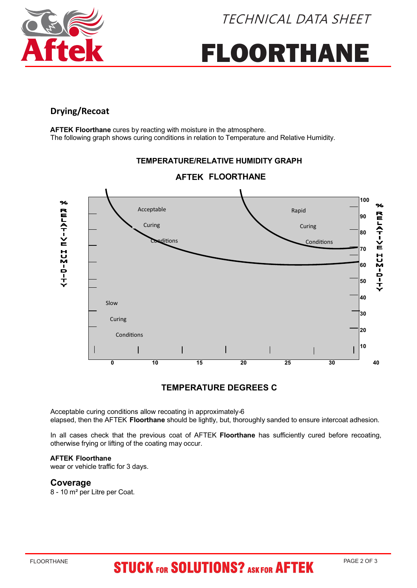



# FLOORTHANE

#### **Drying/Recoat**

**AFTEK Floorthane** cures by reacting with moisture in the atmosphere. The following graph shows curing conditions in relation to Temperature and Relative Humidity.

#### **AFTEK FLOORTHANE 100 100**  $\frac{1}{2}$ % RELATIVE HUMIDITY Acceptable Rapid RELAT-VE HUM-D-T **90 90** Curing Curing **80 80** ditions Conditions **70 70 60 60 50 50 40 40** Slow **30 30** Curing **20 20** Conditions **10 10 0 10 15 20 25 30 40**

### **TEMPERATURE/RELATIVE HUMIDITY GRAPH**

#### **TEMPERATURE DEGREES C**

Acceptable curing conditions allow recoating in approximately-6 elapsed, then the AFTEK **Floorthane** should be lightly, but, thoroughly sanded to ensure intercoat adhesion.

In all cases check that the previous coat of AFTEK **Floorthane** has sufficiently cured before recoating, otherwise frying or lifting of the coating may occur.

#### **AFTEK Floorthane**

wear or vehicle traffic for 3 days.

#### **Coverage**

8 - 10 m² per Litre per Coat.

## **STUCK FOR SOLUTIONS? ASK FOR AFTEK**